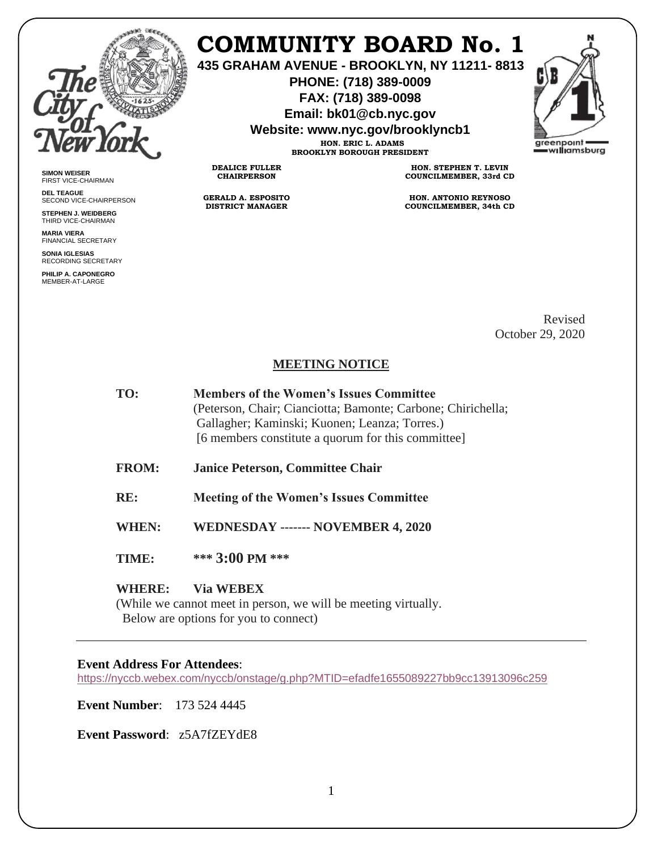

**SIMON WEISER** FIRST VICE-CHAIRMAN **DEL TEAGUE**

SECOND VICE-CHAIRPERSON **STEPHEN J. WEIDBERG** THIRD VICE-CHAIRMAN **MARIA VIERA** FINANCIAL SECRETARY **SONIA IGLESIAS** RECORDING SECRETARY **PHILIP A. CAPONEGRO** MEMBER-AT-LARGE

# **COMMUNITY BOARD No. 1**

**435 GRAHAM AVENUE - BROOKLYN, NY 11211- 8813**

**PHONE: (718) 389-0009 FAX: (718) 389-0098**

**Email: bk01@cb.nyc.gov**

**Website: www.nyc.gov/brooklyncb1**



**HON. ERIC L. ADAMS BROOKLYN BOROUGH PRESIDENT**

**DEALICE FULLER CHAIRPERSON**

**GERALD A. ESPOSITO DISTRICT MANAGER**

**HON. STEPHEN T. LEVIN COUNCILMEMBER, 33rd CD**

**HON. ANTONIO REYNOSO COUNCILMEMBER, 34th CD**

> Revised October 29, 2020

## **MEETING NOTICE**

- **TO: Members of the Women's Issues Committee**  (Peterson, Chair; Cianciotta; Bamonte; Carbone; Chirichella; Gallagher; Kaminski; Kuonen; Leanza; Torres.) [6 members constitute a quorum for this committee]
- **FROM: Janice Peterson, Committee Chair**
- **RE: Meeting of the Women's Issues Committee**

**WHEN: WEDNESDAY ------- NOVEMBER 4, 2020** 

**TIME: \*\*\* 3:00 PM \*\*\***

### **WHERE: Via WEBEX**

(While we cannot meet in person, we will be meeting virtually. Below are options for you to connect)

### **Event Address For Attendees**[:](https://nyccb.webex.com/nyccb/onstage/g.php?MTID=efadfe1655089227bb9cc13913096c259)

<https://nyccb.webex.com/nyccb/onstage/g.php?MTID=efadfe1655089227bb9cc13913096c259>

**Event Number**: 173 524 4445

**Event Password**: z5A7fZEYdE8